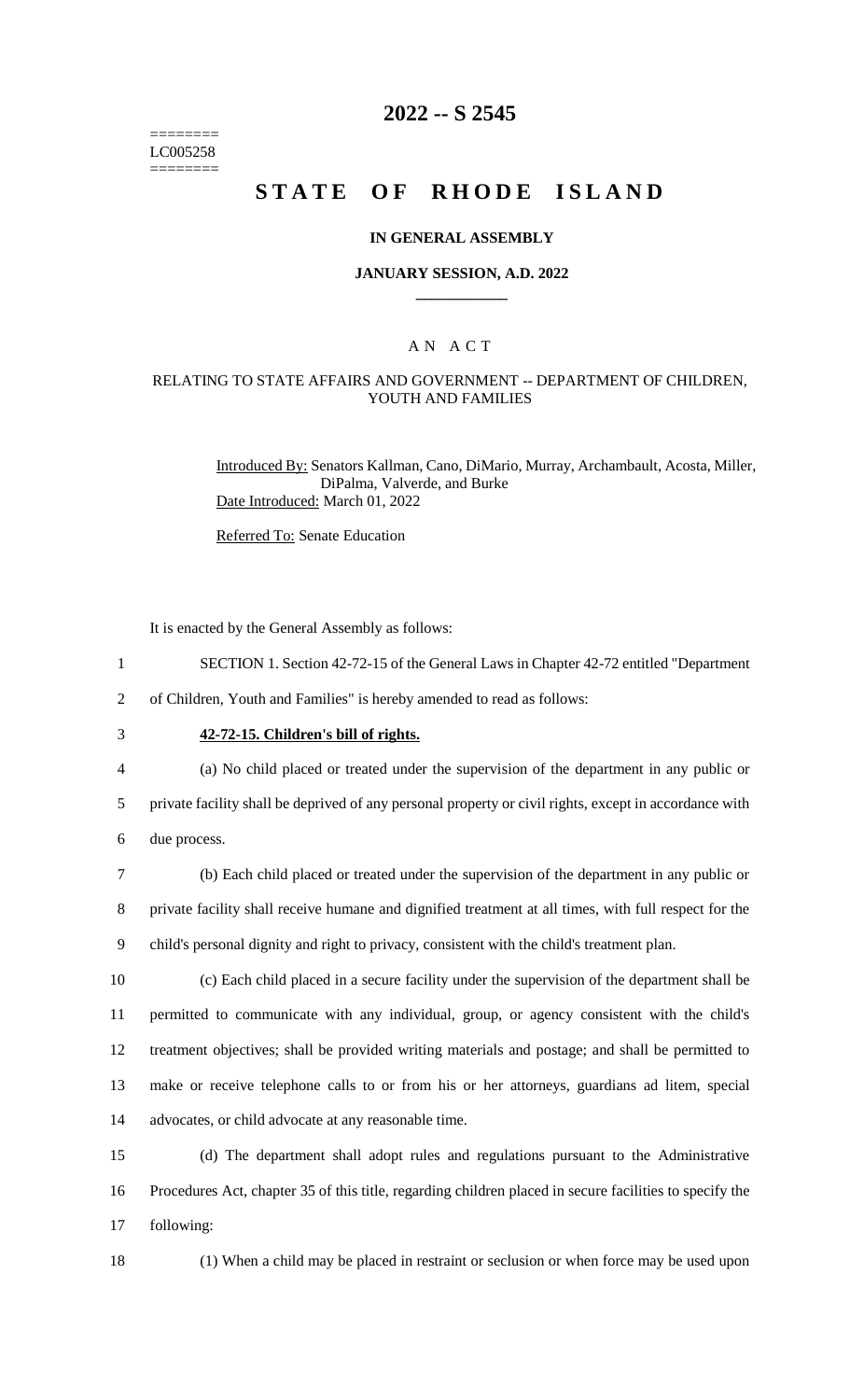======== LC005258 ========

# **2022 -- S 2545**

# **STATE OF RHODE ISLAND**

#### **IN GENERAL ASSEMBLY**

#### **JANUARY SESSION, A.D. 2022 \_\_\_\_\_\_\_\_\_\_\_\_**

### A N A C T

#### RELATING TO STATE AFFAIRS AND GOVERNMENT -- DEPARTMENT OF CHILDREN, YOUTH AND FAMILIES

Introduced By: Senators Kallman, Cano, DiMario, Murray, Archambault, Acosta, Miller, DiPalma, Valverde, and Burke Date Introduced: March 01, 2022

Referred To: Senate Education

It is enacted by the General Assembly as follows:

1 SECTION 1. Section 42-72-15 of the General Laws in Chapter 42-72 entitled "Department

2 of Children, Youth and Families" is hereby amended to read as follows:

# 3 **42-72-15. Children's bill of rights.**

4 (a) No child placed or treated under the supervision of the department in any public or

5 private facility shall be deprived of any personal property or civil rights, except in accordance with 6 due process.

7 (b) Each child placed or treated under the supervision of the department in any public or 8 private facility shall receive humane and dignified treatment at all times, with full respect for the 9 child's personal dignity and right to privacy, consistent with the child's treatment plan.

 (c) Each child placed in a secure facility under the supervision of the department shall be permitted to communicate with any individual, group, or agency consistent with the child's treatment objectives; shall be provided writing materials and postage; and shall be permitted to make or receive telephone calls to or from his or her attorneys, guardians ad litem, special advocates, or child advocate at any reasonable time.

15 (d) The department shall adopt rules and regulations pursuant to the Administrative 16 Procedures Act, chapter 35 of this title, regarding children placed in secure facilities to specify the 17 following:

18 (1) When a child may be placed in restraint or seclusion or when force may be used upon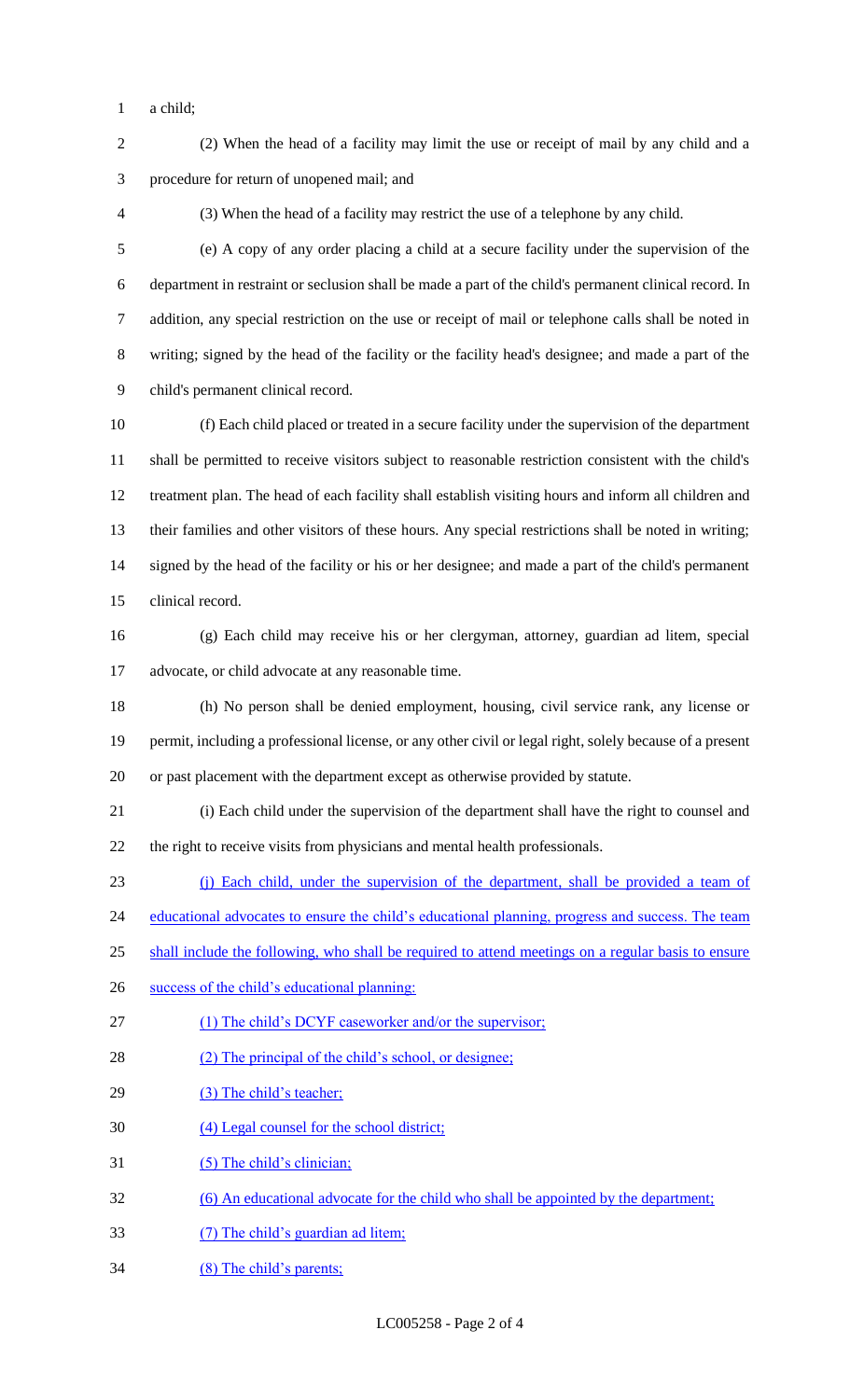a child;

 (2) When the head of a facility may limit the use or receipt of mail by any child and a procedure for return of unopened mail; and

(3) When the head of a facility may restrict the use of a telephone by any child.

 (e) A copy of any order placing a child at a secure facility under the supervision of the department in restraint or seclusion shall be made a part of the child's permanent clinical record. In addition, any special restriction on the use or receipt of mail or telephone calls shall be noted in writing; signed by the head of the facility or the facility head's designee; and made a part of the child's permanent clinical record.

 (f) Each child placed or treated in a secure facility under the supervision of the department shall be permitted to receive visitors subject to reasonable restriction consistent with the child's treatment plan. The head of each facility shall establish visiting hours and inform all children and their families and other visitors of these hours. Any special restrictions shall be noted in writing; signed by the head of the facility or his or her designee; and made a part of the child's permanent clinical record.

 (g) Each child may receive his or her clergyman, attorney, guardian ad litem, special advocate, or child advocate at any reasonable time.

 (h) No person shall be denied employment, housing, civil service rank, any license or permit, including a professional license, or any other civil or legal right, solely because of a present or past placement with the department except as otherwise provided by statute.

 (i) Each child under the supervision of the department shall have the right to counsel and the right to receive visits from physicians and mental health professionals.

(j) Each child, under the supervision of the department, shall be provided a team of

24 educational advocates to ensure the child's educational planning, progress and success. The team

25 shall include the following, who shall be required to attend meetings on a regular basis to ensure

- success of the child's educational planning:
- 27 (1) The child's DCYF caseworker and/or the supervisor;
- 28 (2) The principal of the child's school, or designee;
- 29 (3) The child's teacher;
- (4) Legal counsel for the school district;
- (5) The child's clinician;
- (6) An educational advocate for the child who shall be appointed by the department;
- (7) The child's guardian ad litem;
- (8) The child's parents;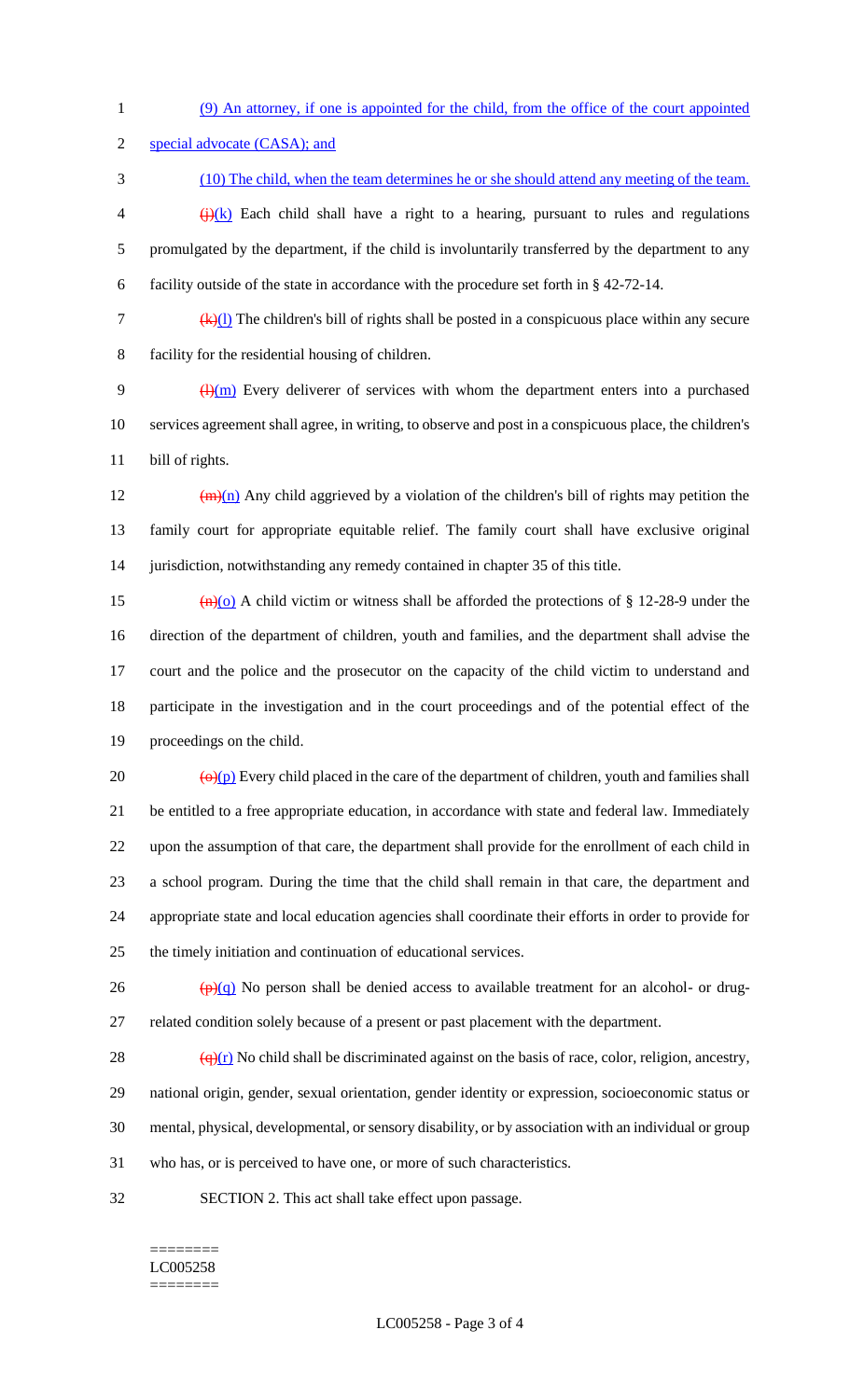(9) An attorney, if one is appointed for the child, from the office of the court appointed

special advocate (CASA); and

- (10) The child, when the team determines he or she should attend any meeting of the team.  $\left\langle \frac{1}{k} \right\rangle (k)$  Each child shall have a right to a hearing, pursuant to rules and regulations promulgated by the department, if the child is involuntarily transferred by the department to any facility outside of the state in accordance with the procedure set forth in § 42-72-14.
- $\frac{f(x)}{l}$  The children's bill of rights shall be posted in a conspicuous place within any secure facility for the residential housing of children.

9  $\frac{(\mu)(m)}{m}$  Every deliverer of services with whom the department enters into a purchased services agreement shall agree, in writing, to observe and post in a conspicuous place, the children's bill of rights.

12  $(m)(n)$  Any child aggrieved by a violation of the children's bill of rights may petition the family court for appropriate equitable relief. The family court shall have exclusive original jurisdiction, notwithstanding any remedy contained in chapter 35 of this title.

 $\left(\frac{h}{0}\right)$  A child victim or witness shall be afforded the protections of § 12-28-9 under the direction of the department of children, youth and families, and the department shall advise the court and the police and the prosecutor on the capacity of the child victim to understand and participate in the investigation and in the court proceedings and of the potential effect of the proceedings on the child.

 $\left(\frac{\Theta(x)}{x}\right)$  Every child placed in the care of the department of children, youth and families shall be entitled to a free appropriate education, in accordance with state and federal law. Immediately upon the assumption of that care, the department shall provide for the enrollment of each child in a school program. During the time that the child shall remain in that care, the department and appropriate state and local education agencies shall coordinate their efforts in order to provide for the timely initiation and continuation of educational services.

26  $\left(\frac{\rho}{q}\right)$  No person shall be denied access to available treatment for an alcohol- or drug-related condition solely because of a present or past placement with the department.

 $\frac{(\mathbf{q})(\mathbf{r})}{(\mathbf{q})(\mathbf{r})}$  No child shall be discriminated against on the basis of race, color, religion, ancestry, national origin, gender, sexual orientation, gender identity or expression, socioeconomic status or mental, physical, developmental, or sensory disability, or by association with an individual or group who has, or is perceived to have one, or more of such characteristics.

SECTION 2. This act shall take effect upon passage.

#### ======== LC005258